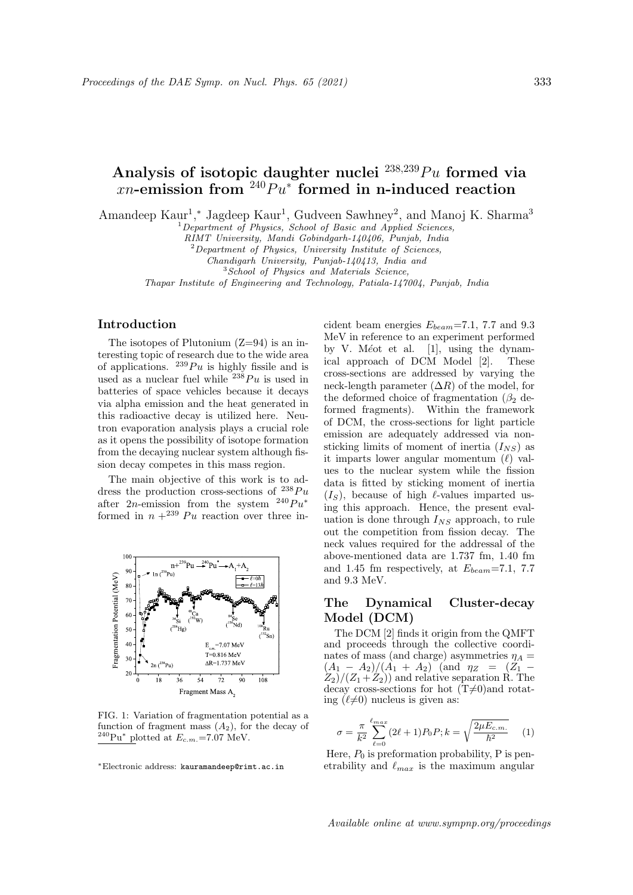# Analysis of isotopic daughter nuclei  $^{238,239}Pu$  formed via xn-emission from  $240Pu^*$  formed in n-induced reaction

Amandeep Kaur<sup>1</sup>,\* Jagdeep Kaur<sup>1</sup>, Gudveen Sawhney<sup>2</sup>, and Manoj K. Sharma<sup>3</sup>

 $1$ Department of Physics, School of Basic and Applied Sciences,

RIMT University, Mandi Gobindgarh-140406, Punjab, India

 $2$ Department of Physics, University Institute of Sciences,

Chandigarh University, Punjab-140413, India and

<sup>3</sup>School of Physics and Materials Science,

Thapar Institute of Engineering and Technology, Patiala-147004, Punjab, India

## Introduction

The isotopes of Plutonium  $(Z=94)$  is an interesting topic of research due to the wide area of applications.  $^{239}Pu$  is highly fissile and is used as a nuclear fuel while  $^{238}Pu$  is used in batteries of space vehicles because it decays via alpha emission and the heat generated in this radioactive decay is utilized here. Neutron evaporation analysis plays a crucial role as it opens the possibility of isotope formation from the decaying nuclear system although fission decay competes in this mass region.

The main objective of this work is to address the production cross-sections of  $^{238}Pu$ after 2n-emission from the system  $^{240}Pu^*$ formed in  $n +^{239} Pu$  reaction over three in-



FIG. 1: Variation of fragmentation potential as a function of fragment mass  $(A_2)$ , for the decay of  $^{240}\text{Pu}^*$  plotted at  $E_{c.m.}$  =7.07 MeV.

cident beam energies  $E_{beam}$ =7.1, 7.7 and 9.3 MeV in reference to an experiment performed by V. Méot et al.  $[1]$ , using the dynamical approach of DCM Model [2]. These cross-sections are addressed by varying the neck-length parameter  $(\Delta R)$  of the model, for the deformed choice of fragmentation  $(\beta_2$  deformed fragments). Within the framework of DCM, the cross-sections for light particle emission are adequately addressed via nonsticking limits of moment of inertia  $(I_{NS})$  as it imparts lower angular momentum  $(\ell)$  values to the nuclear system while the fission data is fitted by sticking moment of inertia  $(I<sub>S</sub>)$ , because of high  $\ell$ -values imparted using this approach. Hence, the present evaluation is done through  $I_{NS}$  approach, to rule out the competition from fission decay. The neck values required for the addressal of the above-mentioned data are 1.737 fm, 1.40 fm and 1.45 fm respectively, at  $E_{beam}$ =7.1, 7.7 and 9.3 MeV.

# The Dynamical Cluster-decay Model (DCM)

The DCM [2] finds it origin from the QMFT and proceeds through the collective coordinates of mass (and charge) asymmetries  $\eta_A =$  $(A_1 - A_2)/(A_1 + A_2)$  (and  $\eta_Z = (Z_1 Z_2$ / $(Z_1 + Z_2)$  and relative separation R. The decay cross-sections for hot  $(T\neq 0)$  and rotating  $(\ell\neq 0)$  nucleus is given as:

$$
\sigma = \frac{\pi}{k^2} \sum_{\ell=0}^{\ell_{max}} (2\ell+1) P_0 P; k = \sqrt{\frac{2\mu E_{c.m.}}{\hbar^2}} \tag{1}
$$

Here,  $P_0$  is preformation probability, P is penetrability and  $\ell_{max}$  is the maximum angular

<sup>∗</sup>Electronic address: kauramandeep@rimt.ac.in